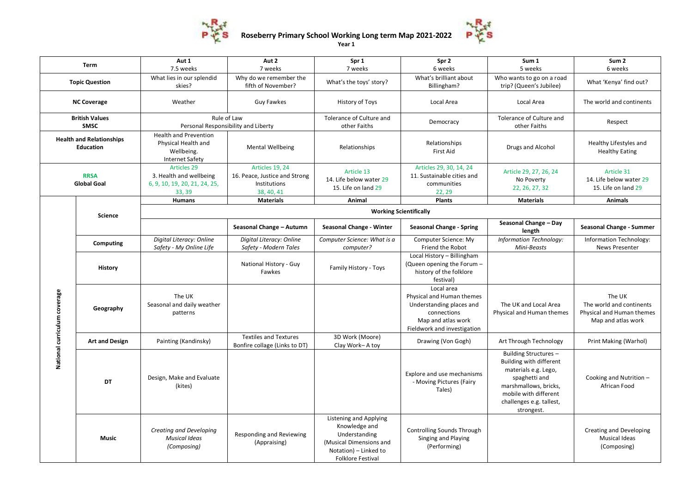

**Roseberry Primary School Working Long term Map 2021-2022**

**Year 1**

P

| <b>Term</b>                                         |                       | Aut 1<br>7.5 weeks                                                                          | Aut 2<br>7 weeks                                                                      | Spr 1<br>7 weeks                                                                                                                         | Spr 2<br>6 weeks                                                                                                                        | Sum 1<br>5 weeks                                                                                                                                                                      | Sum <sub>2</sub><br>6 weeks                                                           |  |  |
|-----------------------------------------------------|-----------------------|---------------------------------------------------------------------------------------------|---------------------------------------------------------------------------------------|------------------------------------------------------------------------------------------------------------------------------------------|-----------------------------------------------------------------------------------------------------------------------------------------|---------------------------------------------------------------------------------------------------------------------------------------------------------------------------------------|---------------------------------------------------------------------------------------|--|--|
| <b>Topic Question</b>                               |                       | What lies in our splendid<br>skies?                                                         | Why do we remember the<br>fifth of November?                                          | What's the toys' story?                                                                                                                  | What's brilliant about<br>Billingham?                                                                                                   | Who wants to go on a road<br>trip? (Queen's Jubilee)                                                                                                                                  | What 'Kenya' find out?                                                                |  |  |
| <b>NC Coverage</b>                                  |                       | Weather                                                                                     | <b>Guy Fawkes</b>                                                                     | History of Toys                                                                                                                          | Local Area                                                                                                                              | Local Area                                                                                                                                                                            | The world and continents                                                              |  |  |
| <b>British Values</b><br><b>SMSC</b>                |                       | Rule of Law<br>Personal Responsibility and Liberty                                          |                                                                                       | Tolerance of Culture and<br>other Faiths                                                                                                 | Democracy                                                                                                                               | Tolerance of Culture and<br>other Faiths                                                                                                                                              | Respect                                                                               |  |  |
| <b>Health and Relationships</b><br><b>Education</b> |                       | <b>Health and Prevention</b><br>Physical Health and<br>Wellbeing.<br><b>Internet Safety</b> | Mental Wellbeing                                                                      | Relationships                                                                                                                            | Relationships<br><b>First Aid</b>                                                                                                       | Drugs and Alcohol                                                                                                                                                                     | Healthy Lifestyles and<br><b>Healthy Eating</b>                                       |  |  |
| <b>RRSA</b><br><b>Global Goal</b>                   |                       | <b>Articles 29</b><br>3. Health and wellbeing<br>6, 9, 10, 19, 20, 21, 24, 25,<br>33, 39    | Articles 19, 24<br>16. Peace, Justice and Strong<br><b>Institutions</b><br>38, 40, 41 | Article 13<br>14. Life below water 29<br>15. Life on land 29                                                                             | Articles 29, 30, 14, 24<br>11. Sustainable cities and<br>communities<br>22, 29                                                          | Article 29, 27, 26, 24<br>No Poverty<br>22, 26, 27, 32                                                                                                                                | Article 31<br>14. Life below water 29<br>15. Life on land 29                          |  |  |
|                                                     |                       | Humans                                                                                      | <b>Materials</b>                                                                      | Animal                                                                                                                                   | <b>Plants</b>                                                                                                                           | <b>Materials</b>                                                                                                                                                                      | <b>Animals</b>                                                                        |  |  |
|                                                     | <b>Science</b>        | <b>Working Scientifically</b>                                                               |                                                                                       |                                                                                                                                          |                                                                                                                                         |                                                                                                                                                                                       |                                                                                       |  |  |
|                                                     |                       |                                                                                             | Seasonal Change - Autumn                                                              | Seasonal Change - Winter                                                                                                                 | <b>Seasonal Change - Spring</b>                                                                                                         | Seasonal Change - Day<br>length                                                                                                                                                       | Seasonal Change - Summer                                                              |  |  |
| National curriculum coverage                        | Computing             | Digital Literacy: Online<br>Safety - My Online Life                                         | Digital Literacy: Online<br>Safety - Modern Tales                                     | Computer Science: What is a<br>computer?                                                                                                 | Computer Science: My<br>Friend the Robot                                                                                                | Information Technology:<br>Mini-Beasts                                                                                                                                                | Information Technology:<br>News Presenter                                             |  |  |
|                                                     | History               |                                                                                             | National History - Guy<br>Fawkes                                                      | Family History - Toys                                                                                                                    | Local History - Billingham<br>(Queen opening the Forum -<br>history of the folklore<br>festival)                                        |                                                                                                                                                                                       |                                                                                       |  |  |
|                                                     | Geography             | The UK<br>Seasonal and daily weather<br>patterns                                            |                                                                                       |                                                                                                                                          | Local area<br>Physical and Human themes<br>Understanding places and<br>connections<br>Map and atlas work<br>Fieldwork and investigation | The UK and Local Area<br>Physical and Human themes                                                                                                                                    | The UK<br>The world and continents<br>Physical and Human themes<br>Map and atlas work |  |  |
|                                                     | <b>Art and Design</b> | Painting (Kandinsky)                                                                        | <b>Textiles and Textures</b><br>Bonfire collage (Links to DT)                         | 3D Work (Moore)<br>Clay Work-A toy                                                                                                       | Drawing (Von Gogh)                                                                                                                      | Art Through Technology                                                                                                                                                                | Print Making (Warhol)                                                                 |  |  |
|                                                     | DT                    | Design, Make and Evaluate<br>(kites)                                                        |                                                                                       |                                                                                                                                          | Explore and use mechanisms<br>- Moving Pictures (Fairy<br>Tales)                                                                        | Building Structures -<br>Building with different<br>materials e.g. Lego,<br>spaghetti and<br>marshmallows, bricks,<br>mobile with different<br>challenges e.g. tallest,<br>strongest. | Cooking and Nutrition -<br>African Food                                               |  |  |
|                                                     | <b>Music</b>          | Creating and Developing<br><b>Musical Ideas</b><br>(Composing)                              | Responding and Reviewing<br>(Appraising)                                              | Listening and Applying<br>Knowledge and<br>Understanding<br>(Musical Dimensions and<br>Notation) – Linked to<br><b>Folklore Festival</b> | <b>Controlling Sounds Through</b><br>Singing and Playing<br>(Performing)                                                                |                                                                                                                                                                                       | Creating and Developing<br><b>Musical Ideas</b><br>(Composing)                        |  |  |